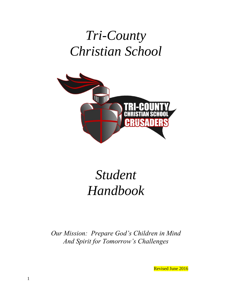# *Tri-County Christian School*



# *Student Handbook*

*Our Mission: Prepare God's Children in Mind And Spirit for Tomorrow's Challenges*

Revised June 2016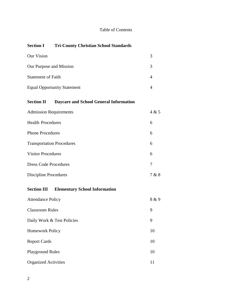# Table of Contents

# **Section I Tri-County Christian School Standards**

| Our Vision                         |  |
|------------------------------------|--|
| Our Purpose and Mission            |  |
| <b>Statement of Faith</b>          |  |
| <b>Equal Opportunity Statement</b> |  |

# **Section II Daycare and School General Information**

| <b>Admission Requirements</b>    | 4 & 5 |
|----------------------------------|-------|
| <b>Health Procedures</b>         | 6     |
| <b>Phone Procedures</b>          | 6     |
| <b>Transportation Procedures</b> | 6     |
| <b>Visitor Procedures</b>        | 6     |
| <b>Dress Code Procedures</b>     | 7     |
| Discipline Procedures            | 7 & 8 |

# **Section III Elementary School Information**

| <b>Attendance Policy</b>    | 8 & 9 |
|-----------------------------|-------|
| <b>Classroom Rules</b>      | 9     |
| Daily Work & Test Policies  | 9     |
| <b>Homework Policy</b>      | 10    |
| <b>Report Cards</b>         | 10    |
| <b>Playground Rules</b>     | 10    |
| <b>Organized Activities</b> | 11    |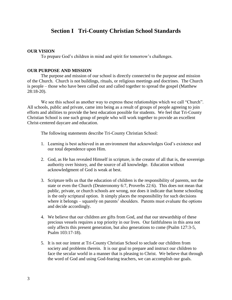# **Section I Tri-County Christian School Standards**

# **OUR VISION**

To prepare God's children in mind and spirit for tomorrow's challenges.

#### **OUR PURPOSE AND MISSION**

The purpose and mission of our school is directly connected to the purpose and mission of the Church. Church is not buildings, rituals, or religious meetings and doctrines. The Church is people – those who have been called out and called together to spread the gospel (Matthew 28:18-20).

We see this school as another way to express these relationships which we call "Church". All schools, public and private, came into being as a result of groups of people agreeing to join efforts and abilities to provide the best education possible for students. We feel that Tri-County Christian School is one such group of people who will work together to provide an excellent Christ-centered daycare and education.

The following statements describe Tri-County Christian School:

- 1. Learning is best achieved in an environment that acknowledges God's existence and our total dependence upon Him.
- 2. God, as He has revealed Himself in scripture, is the creator of all that is, the sovereign authority over history, and the source of all knowledge. Education without acknowledgment of God is weak at best.
- 3. Scripture tells us that the education of children is the responsibility of parents, not the state or even the Church (Deuteronomy 6:7, Proverbs 22:6). This does not mean that public, private, or church schools are wrong, nor does it indicate that home schooling is the only scriptural option. It simply places the responsibility for such decisions where it belongs – squarely on parents' shoulders. Parents must evaluate the options and decide accordingly.
- 4. We believe that our children are gifts from God, and that our stewardship of these precious vessels requires a top priority in our lives. Our faithfulness in this area not only affects this present generation, but also generations to come (Psalm 127:3-5, Psalm 103:17-18).
- 5. It is not our intent at Tri-County Christian School to seclude our children from society and problems therein. It is our goal to prepare and instruct our children to face the secular world in a manner that is pleasing to Christ. We believe that through the word of God and using God-fearing teachers, we can accomplish our goals.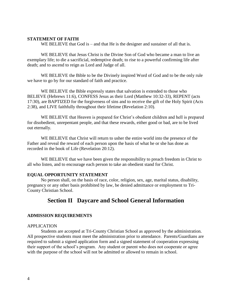#### **STATEMENT OF FAITH**

WE BELIEVE that God is – and that He is the designer and sustainer of all that is.

WE BELIEVE that Jesus Christ is the Divine Son of God who became a man to live an exemplary life; to die a sacrificial, redemptive death; to rise to a powerful confirming life after death; and to ascend to reign as Lord and Judge of all.

WE BELIEVE the Bible to be the Divinely inspired Word of God and to be the only rule we have to go by for our standard of faith and practice.

WE BELIEVE the Bible expressly states that salvation is extended to those who BELIEVE (Hebrews 11:6), CONFESS Jesus as their Lord (Matthew 10:32-33), REPENT (acts 17:30), are BAPTIZED for the forgiveness of sins and to receive the gift of the Holy Spirit (Acts 2:38), and LIVE faithfully throughout their lifetime (Revelation 2:10).

WE BELIEVE that Heaven is prepared for Christ's obedient children and hell is prepared for disobedient, unrepentant people, and that these rewards, either good or bad, are to be lived out eternally.

WE BELIEVE that Christ will return to usher the entire world into the presence of the Father and reveal the reward of each person upon the basis of what he or she has done as recorded in the book of Life (Revelation 20:12).

WE BELIEVE that we have been given the responsibility to preach freedom in Christ to all who listen, and to encourage each person to take an obedient stand for Christ.

# **EQUAL OPPORTUNITY STATEMENT**

No person shall, on the basis of race, color, religion, sex, age, marital status, disability, pregnancy or any other basis prohibited by law, be denied admittance or employment to Tri-County Christian School.

# **Section II Daycare and School General Information**

#### **ADMISSION REQUIREMENTS**

#### APPLICATION

Students are accepted at Tri-County Christian School as approved by the administration. All prospective students must meet the administration prior to attendance. Parents/Guardians are required to submit a signed application form and a signed statement of cooperation expressing their support of the school's program. Any student or parent who does not cooperate or agree with the purpose of the school will not be admitted or allowed to remain in school.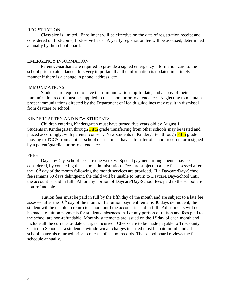#### REGISTRATION

Class size is limited. Enrollment will be effective on the date of registration receipt and considered on first-come, first-serve basis. A yearly registration fee will be assessed, determined annually by the school board.

#### EMERGENCY INFORMATION

Parents/Guardians are required to provide a signed emergency information card to the school prior to attendance. It is very important that the information is updated in a timely manner if there is a change in phone, address, etc.

#### IMMUNIZATIONS

Students are required to have their immunizations up-to-date, and a copy of their immunization record must be supplied to the school prior to attendance. Neglecting to maintain proper immunizations directed by the Department of Health guidelines may result in dismissal from daycare or school.

# KINDERGARTEN AND NEW STUDENTS

Children entering Kindergarten must have turned five years old by August 1. Students in Kindergarten through Fifth grade transferring from other schools may be tested and placed accordingly, with parental consent. New students in Kindergarten through Fifth grade moving to TCCS from another school district must have a transfer of school records form signed by a parent/guardian prior to attendance.

#### **FEES**

Daycare/Day-School fees are due weekly. Special payment arrangements may be considered, by contacting the school administration. Fees are subject to a late fee assessed after the  $10<sup>th</sup>$  day of the month following the month services are provided. If a Daycare/Day-School fee remains 30 days delinquent, the child will be unable to return to Daycare/Day-School until the account is paid in full. All or any portion of Daycare/Day-School fees paid to the school are non-refundable.

Tuition fees must be paid in full by the fifth day of the month and are subject to a late fee assessed after the  $10<sup>th</sup>$  day of the month. If a tuition payment remains 30 days delinquent, the student will be unable to return to school until the account is paid in full. Adjustments will not be made to tuition payments for students' absences. All or any portion of tuition and fees paid to the school are non-refundable. Monthly statements are issued on the  $1<sup>st</sup>$  day of each month and include all the current-to- date charges incurred. Checks are to be made payable to Tri-County Christian School. If a student is withdrawn all charges incurred must be paid in full and all school materials returned prior to release of school records. The school board reviews the fee schedule annually.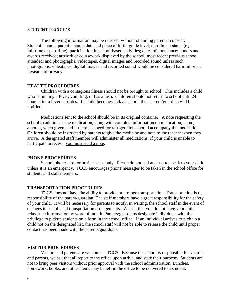#### STUDENT RECORDS

The following information may be released without obtaining parental consent: Student's name; parent's name; date and place of birth; grade level; enrollment status (e.g. full-time or part-time); participation in school-based activities; dates of attendance; honors and awards received; artwork or coursework displayed by the school; most recent previous school attended; and photographs, videotapes, digital images and recorded sound unless such photographs, videotapes, digital images and recorded sound would be considered harmful or an invasion of privacy.

#### **HEALTH PROCEDURES**

Children with a contagious illness should not be brought to school. This includes a child who is running a fever, vomiting, or has a rash. Children should not return to school until 24 hours after a fever subsides. If a child becomes sick at school, their parent/guardian will be notified.

Medications sent to the school should be in its original container. A note requesting the school to administer the medication, along with complete information on medication, name, amount, when given, and if there is a need for refrigeration, should accompany the medication. Children should be instructed by parents to give the medicine and note to the teacher when they arrive. A designated staff member will administer all medications. If your child is unable to participate in recess, you must send a note.

#### **PHONE PROCEDURES**

School phones are for business use only. Please do not call and ask to speak to your child unless it is an emergency. TCCS encourages phone messages to be taken in the school office for students and staff members.

#### **TRANSPORTATION PROCEDURES**

TCCS does not have the ability to provide or arrange transportation. Transportation is the responsibility of the parent/guardian. The staff members have a great responsibility for the safety of your child. It will be necessary for parents to notify, in writing, the school staff in the event of changes to established transportation arrangements. We ask that you do not have your child relay such information by word of mouth. Parents/guardians designate individuals with the privilege to pickup students on a form in the school office. If an individual arrives to pick up a child not on the designated list, the school staff will not be able to release the child until proper contact has been made with the parents/guardians.

#### **VISITOR PROCEDURES**

Visitors and parents are welcome at TCCS. Because the school is responsible for visitors and parents, we ask that all report to the office upon arrival and state their purpose. Students are not to bring peer visitors without prior approval with the school administration. Lunches, homework, books, and other items may be left in the office to be delivered to a student.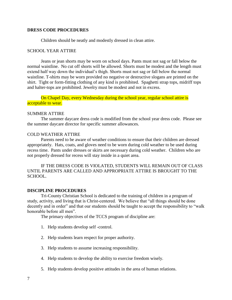#### **DRESS CODE PROCEDURES**

Children should be neatly and modestly dressed in clean attire.

#### SCHOOL YEAR ATTIRE

Jeans or jean shorts may be worn on school days. Pants must not sag or fall below the normal waistline. No cut off shorts will be allowed. Shorts must be modest and the length must extend half way down the individual's thigh. Shorts must not sag or fall below the normal waistline. T-shirts may be worn provided no negative or destructive slogans are printed on the shirt. Tight or form-fitting clothing of any kind is prohibited. Spaghetti strap tops, midriff tops and halter-tops are prohibited. Jewelry must be modest and not in excess.

On Chapel Day, every Wednesday during the school year, regular school attire is acceptable to wear.

#### SUMMER ATTIRE

The summer daycare dress code is modified from the school year dress code. Please see the summer daycare director for specific summer allowances.

# COLD WEATHER ATTIRE

Parents need to be aware of weather conditions to ensure that their children are dressed appropriately. Hats, coats, and gloves need to be worn during cold weather to be used during recess time. Pants under dresses or skirts are necessary during cold weather. Children who are not properly dressed for recess will stay inside in a quiet area.

IF THE DRESS CODE IS VIOLATED, STUDENTS WILL REMAIN OUT OF CLASS UNTIL PARENTS ARE CALLED AND APPROPRIATE ATTIRE IS BROUGHT TO THE SCHOOL.

#### **DISCIPLINE PROCEDURES**

Tri-County Christian School is dedicated to the training of children in a program of study, activity, and living that is Christ-centered. We believe that "all things should be done decently and in order" and that our students should be taught to accept the responsibility to "walk honorable before all men".

The primary objectives of the TCCS program of discipline are:

- 1. Help students develop self -control.
- 2. Help students learn respect for proper authority.
- 3. Help students to assume increasing responsibility.
- 4. Help students to develop the ability to exercise freedom wisely.
- 5. Help students develop positive attitudes in the area of human relations.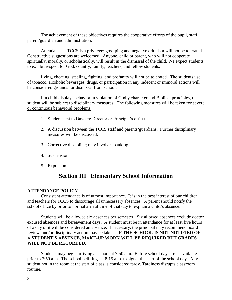The achievement of these objectives requires the cooperative efforts of the pupil, staff, parent/guardian and administration.

Attendance at TCCS is a privilege; gossiping and negative criticism will not be tolerated. Constructive suggestions are welcomed. Anyone, child or parent, who will not cooperate spiritually, morally, or scholastically, will result in the dismissal of the child. We expect students to exhibit respect for God, country, family, teachers, and fellow students.

Lying, cheating, stealing, fighting, and profanity will not be tolerated. The students use of tobacco, alcoholic beverages, drugs, or participation in any indecent or immoral actions will be considered grounds for dismissal from school.

If a child displays behavior in violation of Godly character and Biblical principles, that student will be subject to disciplinary measures. The following measures will be taken for severe or continuous behavioral problems:

- 1. Student sent to Daycare Director or Principal's office.
- 2. A discussion between the TCCS staff and parents/guardians. Further disciplinary measures will be discussed.
- 3. Corrective discipline; may involve spanking.
- 4. Suspension
- 5. Expulsion

# **Section III Elementary School Information**

# **ATTENDANCE POLICY**

Consistent attendance is of utmost importance. It is in the best interest of our children and teachers for TCCS to discourage all unnecessary absences. A parent should notify the school office by prior to normal arrival time of that day to explain a child's absence.

Students will be allowed six absences per semester. Six allowed absences exclude doctor excused absences and bereavement days. A student must be in attendance for at least five hours of a day or it will be considered an absence. If necessary, the principal may recommend board review, and/or disciplinary action may be taken. **IF THE SCHOOL IS NOT NOTIFIED OF A STUDENT'S ABSENCE, MAKE-UP WORK WILL BE REQUIRED BUT GRADES WILL NOT BE RECORDED.**

Students may begin arriving at school at 7:50 a.m. Before school daycare is available prior to 7:50 a.m. The school bell rings at 8:15 a.m. to signal the start of the school day. Any student not in the room at the start of class is considered tardy. Tardiness disrupts classroom routine.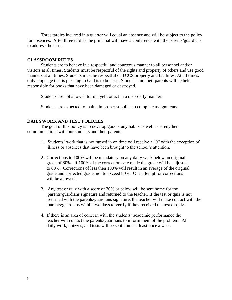Three tardies incurred in a quarter will equal an absence and will be subject to the policy for absences. After three tardies the principal will have a conference with the parents/guardians to address the issue.

#### **CLASSROOM RULES**

Students are to behave in a respectful and courteous manner to all personnel and/or visitors at all times. Students must be respectful of the rights and property of others and use good manners at all times. Students must be respectful of TCCS property and facilities. At all times, only language that is pleasing to God is to be used. Students and their parents will be held responsible for books that have been damaged or destroyed.

Students are not allowed to run, yell, or act in a disorderly manner.

Students are expected to maintain proper supplies to complete assignments.

#### **DAILYWORK AND TEST POLICIES**

The goal of this policy is to develop good study habits as well as strengthen communications with our students and their parents.

- 1. Students' work that is not turned in on time will receive a "0" with the exception of illness or absences that have been brought to the school's attention.
- 2. Corrections to 100% will be mandatory on any daily work below an original grade of 80%. If 100% of the corrections are made the grade will be adjusted to 80%. Corrections of less then 100% will result in an average of the original grade and corrected grade, not to exceed 80%. One attempt for corrections will be allowed.
- 3. Any test or quiz with a score of 70% or below will be sent home for the parents/guardians signature and returned to the teacher. If the test or quiz is not returned with the parents/guardians signature, the teacher will make contact with the parents/guardians within two days to verify if they received the test or quiz.
- 4. If there is an area of concern with the students' academic performance the teacher will contact the parents/guardians to inform them of the problem. All daily work, quizzes, and tests will be sent home at least once a week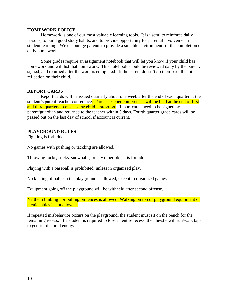#### **HOMEWORK POLICY**

Homework is one of our most valuable learning tools. It is useful to reinforce daily lessons, to build good study habits, and to provide opportunity for parental involvement in student learning. We encourage parents to provide a suitable environment for the completion of daily homework.

Some grades require an assignment notebook that will let you know if your child has homework and will list that homework. This notebook should be reviewed daily by the parent, signed, and returned after the work is completed. If the parent doesn't do their part, then it is a reflection on their child.

# **REPORT CARDS**

Report cards will be issued quarterly about one week after the end of each quarter at the student's parent-teacher conference. Parent-teacher conferences will be held at the end of first and third quarters to discuss the child's progress. Report cards need to be signed by parent/guardian and returned to the teacher within 5 days. Fourth quarter grade cards will be passed out on the last day of school if account is current.

#### **PLAYGROUND RULES**

Fighting is forbidden.

No games with pushing or tackling are allowed.

Throwing rocks, sticks, snowballs, or any other object is forbidden.

Playing with a baseball is prohibited, unless in organized play.

No kicking of balls on the playground is allowed, except in organized games.

Equipment going off the playground will be withheld after second offense.

Neither climbing nor pulling on fences is allowed. Walking on top of playground equipment or picnic tables is not allowed.

If repeated misbehavior occurs on the playground, the student must sit on the bench for the remaining recess. If a student is required to lose an entire recess, then he/she will run/walk laps to get rid of stored energy.